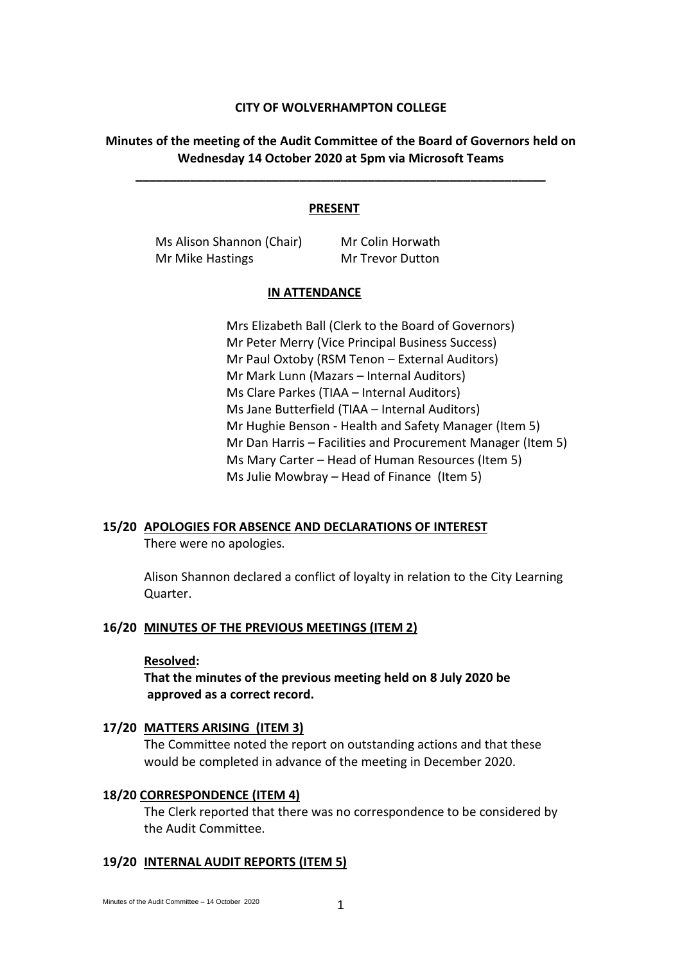## **CITY OF WOLVERHAMPTON COLLEGE**

# **Minutes of the meeting of the Audit Committee of the Board of Governors held on Wednesday 14 October 2020 at 5pm via Microsoft Teams**

**\_\_\_\_\_\_\_\_\_\_\_\_\_\_\_\_\_\_\_\_\_\_\_\_\_\_\_\_\_\_\_\_\_\_\_\_\_\_\_\_\_\_\_\_\_\_\_\_\_\_\_\_\_\_\_\_\_\_\_\_**

### **PRESENT**

Ms Alison Shannon (Chair) Mr Colin Horwath Mr Mike Hastings Mr Trevor Dutton

#### **IN ATTENDANCE**

Mrs Elizabeth Ball (Clerk to the Board of Governors) Mr Peter Merry (Vice Principal Business Success) Mr Paul Oxtoby (RSM Tenon – External Auditors) Mr Mark Lunn (Mazars – Internal Auditors) Ms Clare Parkes (TIAA – Internal Auditors) Ms Jane Butterfield (TIAA – Internal Auditors) Mr Hughie Benson - Health and Safety Manager (Item 5) Mr Dan Harris – Facilities and Procurement Manager (Item 5) Ms Mary Carter – Head of Human Resources (Item 5) Ms Julie Mowbray – Head of Finance (Item 5)

## **15/20 APOLOGIES FOR ABSENCE AND DECLARATIONS OF INTEREST**

There were no apologies.

Alison Shannon declared a conflict of loyalty in relation to the City Learning Quarter.

## **16/20 MINUTES OF THE PREVIOUS MEETINGS (ITEM 2)**

## **Resolved:**

**That the minutes of the previous meeting held on 8 July 2020 be approved as a correct record.**

### **17/20 MATTERS ARISING (ITEM 3)**

The Committee noted the report on outstanding actions and that these would be completed in advance of the meeting in December 2020.

## **18/20 CORRESPONDENCE (ITEM 4)**

The Clerk reported that there was no correspondence to be considered by the Audit Committee.

#### **19/20 INTERNAL AUDIT REPORTS (ITEM 5)**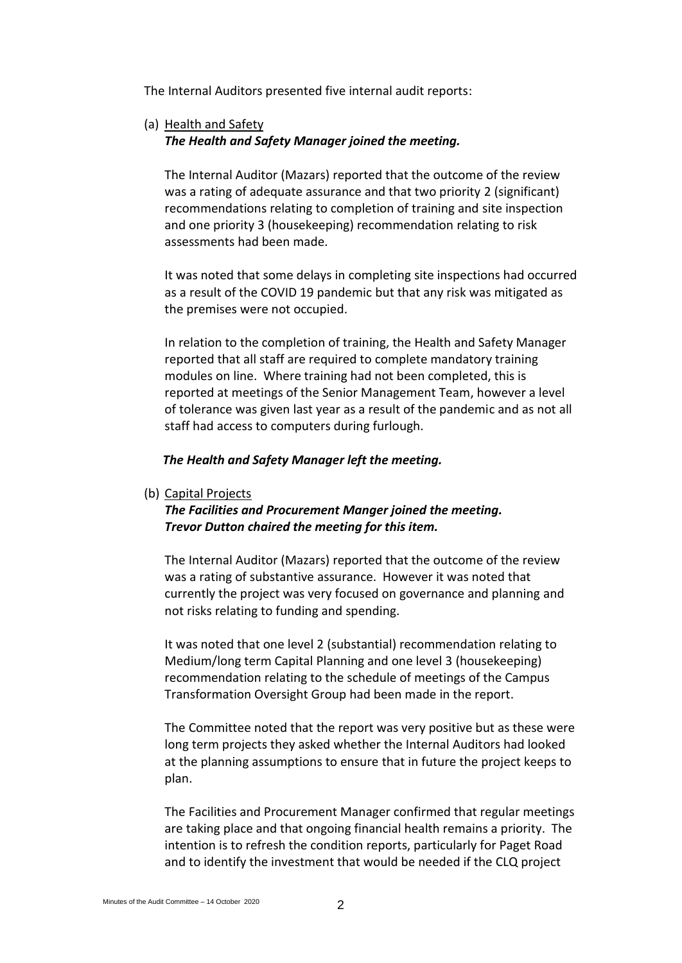The Internal Auditors presented five internal audit reports:

(a) Health and Safety *The Health and Safety Manager joined the meeting.*

The Internal Auditor (Mazars) reported that the outcome of the review was a rating of adequate assurance and that two priority 2 (significant) recommendations relating to completion of training and site inspection and one priority 3 (housekeeping) recommendation relating to risk assessments had been made.

It was noted that some delays in completing site inspections had occurred as a result of the COVID 19 pandemic but that any risk was mitigated as the premises were not occupied.

In relation to the completion of training, the Health and Safety Manager reported that all staff are required to complete mandatory training modules on line. Where training had not been completed, this is reported at meetings of the Senior Management Team, however a level of tolerance was given last year as a result of the pandemic and as not all staff had access to computers during furlough.

## *The Health and Safety Manager left the meeting.*

(b) Capital Projects

# *The Facilities and Procurement Manger joined the meeting. Trevor Dutton chaired the meeting for this item.*

The Internal Auditor (Mazars) reported that the outcome of the review was a rating of substantive assurance. However it was noted that currently the project was very focused on governance and planning and not risks relating to funding and spending.

It was noted that one level 2 (substantial) recommendation relating to Medium/long term Capital Planning and one level 3 (housekeeping) recommendation relating to the schedule of meetings of the Campus Transformation Oversight Group had been made in the report.

The Committee noted that the report was very positive but as these were long term projects they asked whether the Internal Auditors had looked at the planning assumptions to ensure that in future the project keeps to plan.

The Facilities and Procurement Manager confirmed that regular meetings are taking place and that ongoing financial health remains a priority. The intention is to refresh the condition reports, particularly for Paget Road and to identify the investment that would be needed if the CLQ project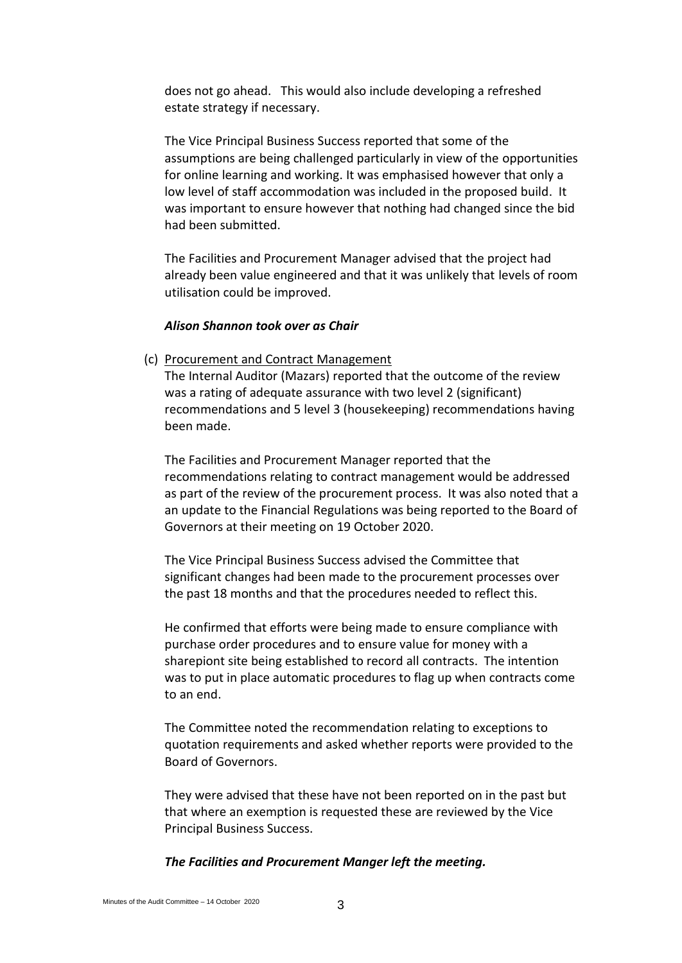does not go ahead. This would also include developing a refreshed estate strategy if necessary.

The Vice Principal Business Success reported that some of the assumptions are being challenged particularly in view of the opportunities for online learning and working. It was emphasised however that only a low level of staff accommodation was included in the proposed build. It was important to ensure however that nothing had changed since the bid had been submitted.

The Facilities and Procurement Manager advised that the project had already been value engineered and that it was unlikely that levels of room utilisation could be improved.

## *Alison Shannon took over as Chair*

(c) Procurement and Contract Management

The Internal Auditor (Mazars) reported that the outcome of the review was a rating of adequate assurance with two level 2 (significant) recommendations and 5 level 3 (housekeeping) recommendations having been made.

The Facilities and Procurement Manager reported that the recommendations relating to contract management would be addressed as part of the review of the procurement process. It was also noted that a an update to the Financial Regulations was being reported to the Board of Governors at their meeting on 19 October 2020.

The Vice Principal Business Success advised the Committee that significant changes had been made to the procurement processes over the past 18 months and that the procedures needed to reflect this.

He confirmed that efforts were being made to ensure compliance with purchase order procedures and to ensure value for money with a sharepiont site being established to record all contracts. The intention was to put in place automatic procedures to flag up when contracts come to an end.

The Committee noted the recommendation relating to exceptions to quotation requirements and asked whether reports were provided to the Board of Governors.

They were advised that these have not been reported on in the past but that where an exemption is requested these are reviewed by the Vice Principal Business Success.

## *The Facilities and Procurement Manger left the meeting.*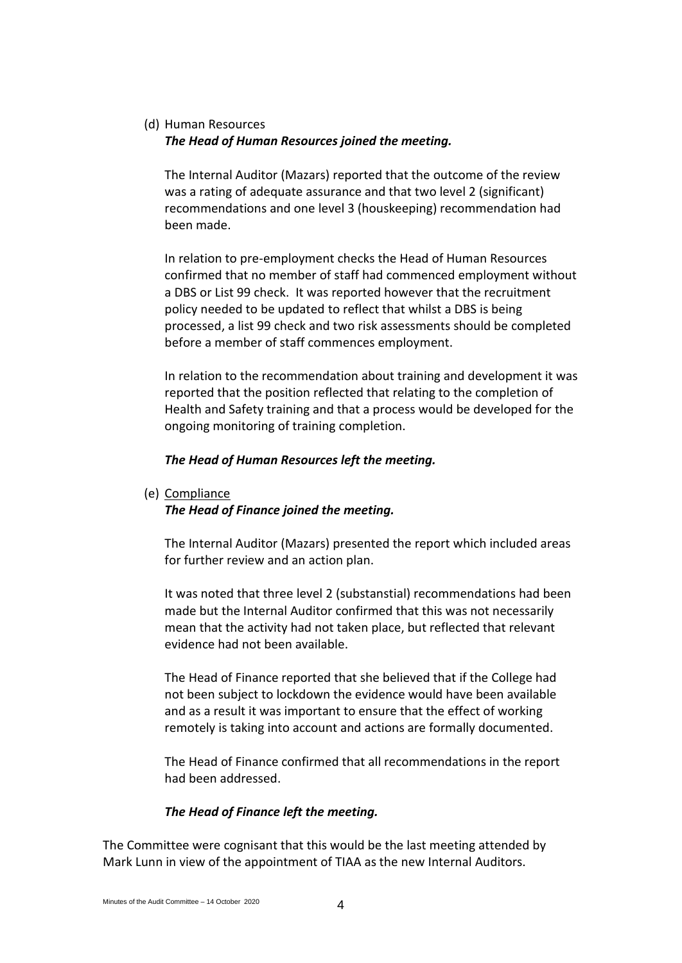# (d) Human Resources *The Head of Human Resources joined the meeting.*

The Internal Auditor (Mazars) reported that the outcome of the review was a rating of adequate assurance and that two level 2 (significant) recommendations and one level 3 (houskeeping) recommendation had been made.

In relation to pre-employment checks the Head of Human Resources confirmed that no member of staff had commenced employment without a DBS or List 99 check. It was reported however that the recruitment policy needed to be updated to reflect that whilst a DBS is being processed, a list 99 check and two risk assessments should be completed before a member of staff commences employment.

In relation to the recommendation about training and development it was reported that the position reflected that relating to the completion of Health and Safety training and that a process would be developed for the ongoing monitoring of training completion.

# *The Head of Human Resources left the meeting.*

(e) Compliance

# *The Head of Finance joined the meeting.*

The Internal Auditor (Mazars) presented the report which included areas for further review and an action plan.

It was noted that three level 2 (substanstial) recommendations had been made but the Internal Auditor confirmed that this was not necessarily mean that the activity had not taken place, but reflected that relevant evidence had not been available.

The Head of Finance reported that she believed that if the College had not been subject to lockdown the evidence would have been available and as a result it was important to ensure that the effect of working remotely is taking into account and actions are formally documented.

The Head of Finance confirmed that all recommendations in the report had been addressed.

# *The Head of Finance left the meeting.*

The Committee were cognisant that this would be the last meeting attended by Mark Lunn in view of the appointment of TIAA as the new Internal Auditors.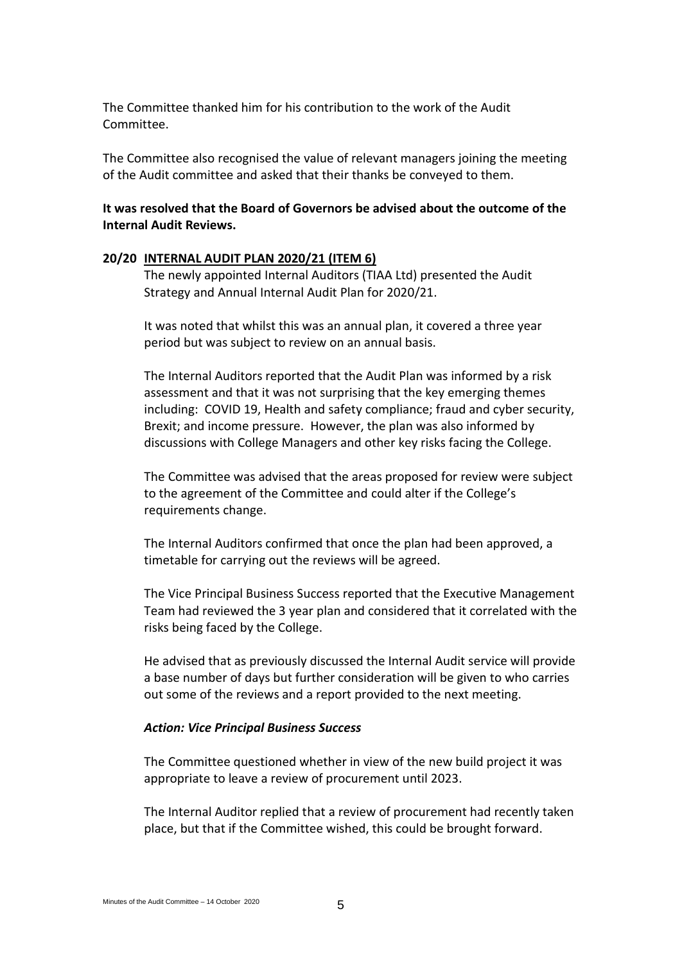The Committee thanked him for his contribution to the work of the Audit Committee.

The Committee also recognised the value of relevant managers joining the meeting of the Audit committee and asked that their thanks be conveyed to them.

# **It was resolved that the Board of Governors be advised about the outcome of the Internal Audit Reviews.**

## **20/20 INTERNAL AUDIT PLAN 2020/21 (ITEM 6)**

The newly appointed Internal Auditors (TIAA Ltd) presented the Audit Strategy and Annual Internal Audit Plan for 2020/21.

It was noted that whilst this was an annual plan, it covered a three year period but was subject to review on an annual basis.

The Internal Auditors reported that the Audit Plan was informed by a risk assessment and that it was not surprising that the key emerging themes including: COVID 19, Health and safety compliance; fraud and cyber security, Brexit; and income pressure. However, the plan was also informed by discussions with College Managers and other key risks facing the College.

The Committee was advised that the areas proposed for review were subject to the agreement of the Committee and could alter if the College's requirements change.

The Internal Auditors confirmed that once the plan had been approved, a timetable for carrying out the reviews will be agreed.

The Vice Principal Business Success reported that the Executive Management Team had reviewed the 3 year plan and considered that it correlated with the risks being faced by the College.

He advised that as previously discussed the Internal Audit service will provide a base number of days but further consideration will be given to who carries out some of the reviews and a report provided to the next meeting.

#### *Action: Vice Principal Business Success*

The Committee questioned whether in view of the new build project it was appropriate to leave a review of procurement until 2023.

The Internal Auditor replied that a review of procurement had recently taken place, but that if the Committee wished, this could be brought forward.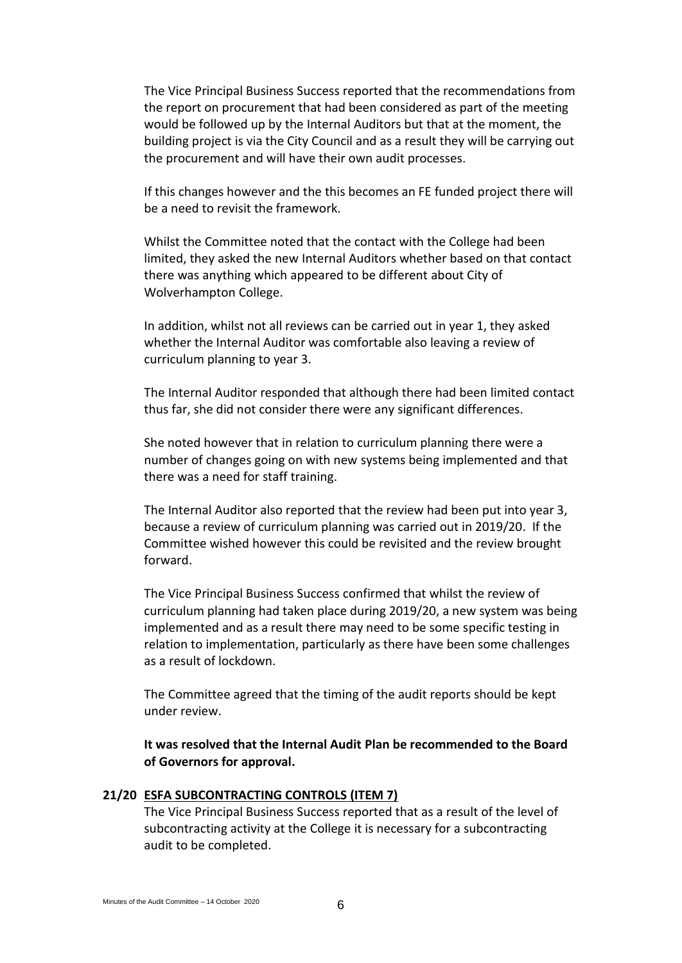The Vice Principal Business Success reported that the recommendations from the report on procurement that had been considered as part of the meeting would be followed up by the Internal Auditors but that at the moment, the building project is via the City Council and as a result they will be carrying out the procurement and will have their own audit processes.

If this changes however and the this becomes an FE funded project there will be a need to revisit the framework.

Whilst the Committee noted that the contact with the College had been limited, they asked the new Internal Auditors whether based on that contact there was anything which appeared to be different about City of Wolverhampton College.

In addition, whilst not all reviews can be carried out in year 1, they asked whether the Internal Auditor was comfortable also leaving a review of curriculum planning to year 3.

The Internal Auditor responded that although there had been limited contact thus far, she did not consider there were any significant differences.

She noted however that in relation to curriculum planning there were a number of changes going on with new systems being implemented and that there was a need for staff training.

The Internal Auditor also reported that the review had been put into year 3, because a review of curriculum planning was carried out in 2019/20. If the Committee wished however this could be revisited and the review brought forward.

The Vice Principal Business Success confirmed that whilst the review of curriculum planning had taken place during 2019/20, a new system was being implemented and as a result there may need to be some specific testing in relation to implementation, particularly as there have been some challenges as a result of lockdown.

The Committee agreed that the timing of the audit reports should be kept under review.

**It was resolved that the Internal Audit Plan be recommended to the Board of Governors for approval.**

# **21/20 ESFA SUBCONTRACTING CONTROLS (ITEM 7)**

The Vice Principal Business Success reported that as a result of the level of subcontracting activity at the College it is necessary for a subcontracting audit to be completed.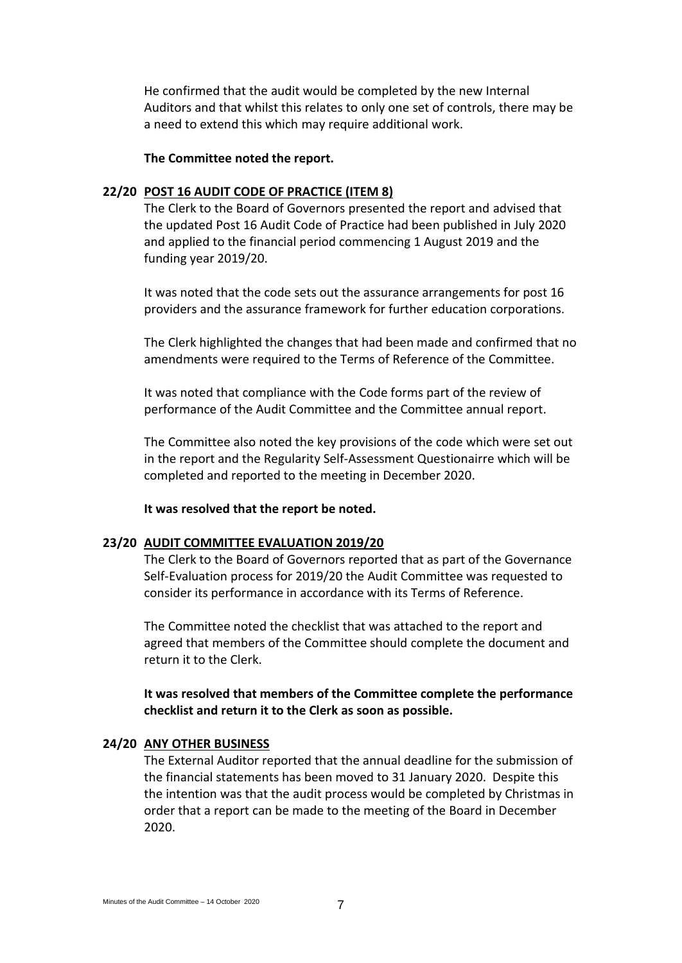He confirmed that the audit would be completed by the new Internal Auditors and that whilst this relates to only one set of controls, there may be a need to extend this which may require additional work.

## **The Committee noted the report.**

## **22/20 POST 16 AUDIT CODE OF PRACTICE (ITEM 8)**

The Clerk to the Board of Governors presented the report and advised that the updated Post 16 Audit Code of Practice had been published in July 2020 and applied to the financial period commencing 1 August 2019 and the funding year 2019/20.

It was noted that the code sets out the assurance arrangements for post 16 providers and the assurance framework for further education corporations.

The Clerk highlighted the changes that had been made and confirmed that no amendments were required to the Terms of Reference of the Committee.

It was noted that compliance with the Code forms part of the review of performance of the Audit Committee and the Committee annual report.

The Committee also noted the key provisions of the code which were set out in the report and the Regularity Self-Assessment Questionairre which will be completed and reported to the meeting in December 2020.

**It was resolved that the report be noted.**

#### **23/20 AUDIT COMMITTEE EVALUATION 2019/20**

The Clerk to the Board of Governors reported that as part of the Governance Self-Evaluation process for 2019/20 the Audit Committee was requested to consider its performance in accordance with its Terms of Reference.

The Committee noted the checklist that was attached to the report and agreed that members of the Committee should complete the document and return it to the Clerk.

**It was resolved that members of the Committee complete the performance checklist and return it to the Clerk as soon as possible.**

#### **24/20 ANY OTHER BUSINESS**

The External Auditor reported that the annual deadline for the submission of the financial statements has been moved to 31 January 2020. Despite this the intention was that the audit process would be completed by Christmas in order that a report can be made to the meeting of the Board in December 2020.